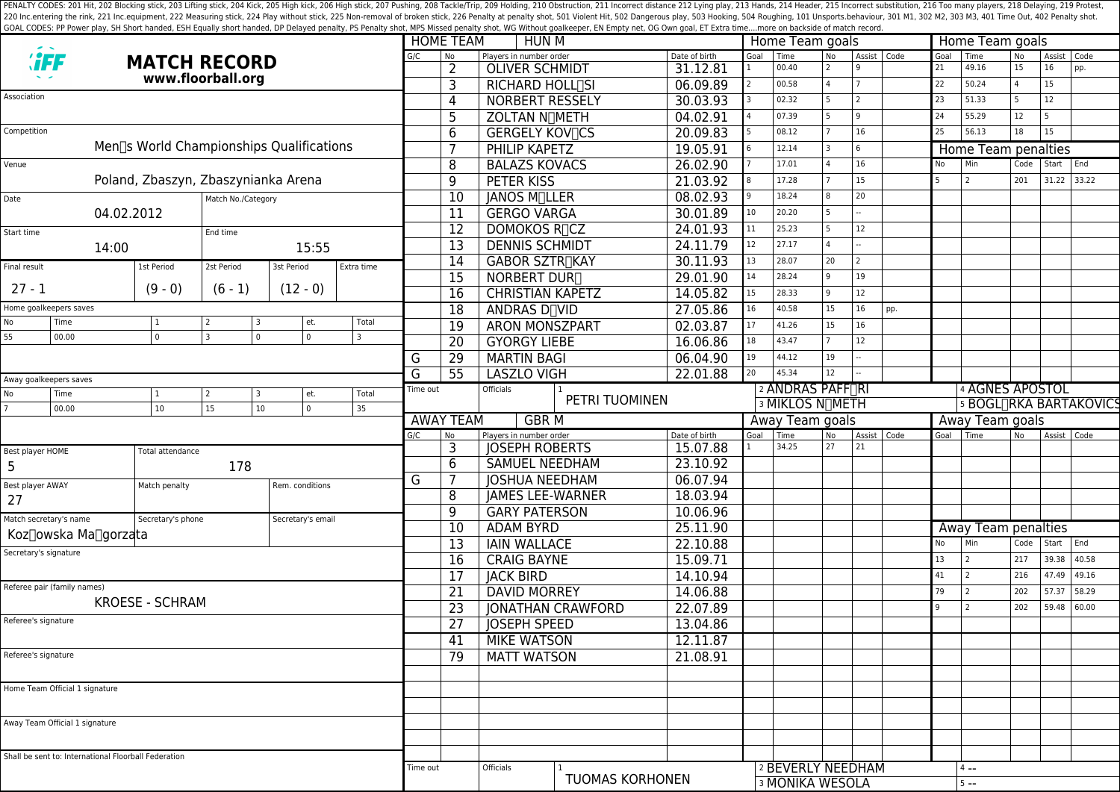PENALTY CODES: 201 Hit, 202 Blocking stick, 203 Lifting stick, 204 Kick, 204 Kick, 205 High kick, 204 Kick, 205 High kick, 206 High stick, 206 High stick, 206 High stick, 206 High stick, 207 Pushing, 208 Tackle/Trip, 209 H 220 Inc.entering the rink, 221 Inc.equipment, 222 Measuring stick, 224 Play without stick, 225 Non-removal of broken stick, 225 Poralty shot, 501 Violent Hit, 502 Dangerous play, 503 Hooking, 504 Roughing, 101 Unsports.beh GOAL CODES: PP Power play, SH Short handed, ESH Equally short handed, DP Delayed penalty, PS Penalty shot, MPS Missed penalty shot, WG Without goalkeeper, EN Empty net, OG Own goal, ET Extra time....more on backside of mat

|                                     |                                                      |                                          |                          |                 |                       | <b>HOME TEAM</b><br><b>HUN M</b> |                   |                 |                           |                          | Home Team goals |                              |                                             |                 | Home Team goals |                               |           |                     |                |             |       |  |
|-------------------------------------|------------------------------------------------------|------------------------------------------|--------------------------|-----------------|-----------------------|----------------------------------|-------------------|-----------------|---------------------------|--------------------------|-----------------|------------------------------|---------------------------------------------|-----------------|-----------------|-------------------------------|-----------|---------------------|----------------|-------------|-------|--|
| <b><i><b>:FF</b></i></b>            |                                                      | <b>MATCH RECORD</b>                      |                          |                 |                       |                                  |                   | No              | Players in number order   |                          | Date of birth   | Goal                         | Time                                        | No              | Assist   Code   |                               | Goal Time |                     | No             | Assist      | Code  |  |
|                                     |                                                      |                                          | www.floorball.org        |                 |                       |                                  |                   | 2               | <b>OLIVER SCHMIDT</b>     |                          | 31.12.81        |                              | 00.40                                       | $\overline{2}$  |                 |                               | 21        | 49.16               | 15             | 16          | pp.   |  |
|                                     |                                                      |                                          |                          |                 |                       |                                  |                   | 3               | RICHARD HOLL[SI           |                          | 06.09.89        |                              | 00.58                                       | $\overline{a}$  |                 |                               | 22        | 50.24               |                | 15          |       |  |
| Association                         |                                                      |                                          |                          |                 |                       |                                  |                   | $\overline{4}$  | NORBERT RESSELY           |                          | 30.03.93        |                              | 02.32                                       | 5               | $\overline{2}$  |                               | 23        | 51.33               |                | 12          |       |  |
|                                     |                                                      |                                          |                          |                 |                       |                                  |                   | 5               | ZOLTAN NOMETH             |                          | 04.02.91        |                              | 07.39                                       | 5               | q               |                               | 24        | 55.29               | 12             | 5           |       |  |
| Competition                         |                                                      |                                          |                          |                 |                       |                                  |                   | 6               | <b>GERGELY KOVICS</b>     |                          | 20.09.83        |                              | 08.12                                       |                 | 16              |                               | 25        | 56.13               | 18             | 15          |       |  |
|                                     |                                                      | Men∏s World Championships Qualifications |                          |                 |                       |                                  |                   |                 | <b>PHILIP KAPETZ</b>      |                          | 19.05.91        |                              | 12.14                                       | 3               | $6\overline{6}$ |                               |           | Home Team penalties |                |             |       |  |
| Venue                               |                                                      |                                          |                          |                 |                       |                                  |                   | 8               | <b>BALAZS KOVACS</b>      |                          | 26.02.90        |                              | 17.01                                       | $\Delta$        | 16              |                               | No        | Min                 | Code           | Start End   |       |  |
| Poland, Zbaszyn, Zbaszynianka Arena |                                                      |                                          |                          |                 |                       | 9                                | <b>PETER KISS</b> |                 | 21.03.92                  |                          | 17.28           |                              | 15                                          |                 | 5               | $\overline{2}$                | 201       | 31.22 33.22         |                |             |       |  |
| Match No./Category<br>Date          |                                                      |                                          |                          |                 | $\overline{10}$       | JANOS M <sub>ILLER</sub>         |                   | 08.02.93        |                           | 18.24                    | 8               | 20                           |                                             |                 |                 |                               |           |                     |                |             |       |  |
| 04.02.2012                          |                                                      |                                          |                          |                 | $\overline{11}$       | <b>GERGO VARGA</b>               |                   | 30.01.89        | 10 <sup>°</sup>           | 20.20                    | 5               |                              |                                             |                 |                 |                               |           |                     |                |             |       |  |
|                                     |                                                      |                                          |                          |                 |                       |                                  |                   | $\overline{12}$ | DOMOKOS R <sub>I</sub> CZ |                          | 24.01.93        | 11                           | 25.23                                       | 5               | 12              |                               |           |                     |                |             |       |  |
| Start time<br>End time              |                                                      |                                          |                          | $\overline{13}$ | <b>DENNIS SCHMIDT</b> |                                  | 24.11.79          | 12              | 27.17                     | $\Delta$                 |                 |                              |                                             |                 |                 |                               |           |                     |                |             |       |  |
|                                     | 14:00                                                |                                          |                          |                 | 15:55                 |                                  |                   | $\overline{14}$ |                           |                          |                 | 13                           | 28.07                                       | 20              | $\overline{2}$  |                               |           |                     |                |             |       |  |
| Final result                        |                                                      | 1st Period                               | 2st Period               | 3st Period      |                       | Extra time                       |                   |                 | <b>GABOR SZTR∏KAY</b>     |                          | 30.11.93        |                              |                                             |                 |                 |                               |           |                     |                |             |       |  |
| $27 - 1$                            |                                                      | $(9 - 0)$                                | $(6 - 1)$                | $(12 - 0)$      |                       |                                  |                   | $\overline{15}$ | NORBERT DUR <sub>I</sub>  |                          | 29.01.90        | 14                           | 28.24                                       | 9               | 19              |                               |           |                     |                |             |       |  |
|                                     |                                                      |                                          |                          |                 |                       |                                  |                   | 16              | <b>CHRISTIAN KAPETZ</b>   |                          | 14.05.82        | 15                           | 28.33                                       | 9               | 12              |                               |           |                     |                |             |       |  |
|                                     | Home goalkeepers saves                               |                                          |                          |                 |                       |                                  |                   | $\overline{18}$ | ANDRAS D <sub>IVID</sub>  |                          | 27.05.86        | 16                           | 40.58                                       | 15              | 16              | pp.                           |           |                     |                |             |       |  |
| No<br>55                            | Time<br>00.00                                        | 0                                        | 3<br>$\overline{3}$<br>0 |                 | et.<br>$\mathsf 0$    | Total<br>$\overline{3}$          |                   | $\overline{19}$ | <b>ARON MONSZPART</b>     |                          | 02.03.87        | 17                           | 41.26                                       | 15              | 16              |                               |           |                     |                |             |       |  |
|                                     |                                                      |                                          |                          |                 |                       |                                  |                   | $\overline{20}$ | <b>GYORGY LIEBE</b>       |                          | 16.06.86        | 18                           | 43.47                                       | $\overline{7}$  | 12              |                               |           |                     |                |             |       |  |
|                                     |                                                      |                                          |                          |                 |                       |                                  | G                 | 29              | <b>MARTIN BAGI</b>        |                          | 06.04.90        | 19                           | 44.12                                       | <b>19</b>       |                 |                               |           |                     |                |             |       |  |
|                                     | Away goalkeepers saves                               |                                          |                          |                 |                       |                                  | G                 | $\overline{55}$ | <b>LASZLO VIGH</b>        |                          | 22.01.88        | 20                           | 45.34                                       | 12              |                 |                               |           |                     |                |             |       |  |
| No                                  | Time                                                 |                                          | $\overline{2}$<br>3      |                 | et.                   | Total                            | Time out          |                 | Officials                 |                          |                 |                              | 2 ANDRAS PAFFIRI                            |                 |                 |                               |           | 4 AGNES APOSTOL     |                |             |       |  |
|                                     | 00.00                                                | 10                                       | 15                       |                 | $\mathsf 0$           | 35                               | PETRI TUOMINEN    |                 |                           |                          |                 | 3 MIKLOS N <sub>T</sub> METH |                                             |                 |                 | <b>5 BOGLTRKA BARTAKOVICS</b> |           |                     |                |             |       |  |
| 10                                  |                                                      |                                          |                          |                 |                       | <b>AWAY TEAM</b><br><b>GBRM</b>  |                   |                 | Away Team goals           |                          |                 |                              |                                             | Away Team goals |                 |                               |           |                     |                |             |       |  |
|                                     |                                                      |                                          |                          |                 |                       |                                  |                   |                 |                           |                          |                 |                              |                                             |                 |                 |                               |           |                     |                |             |       |  |
|                                     |                                                      |                                          |                          |                 |                       |                                  | G/C               | No              | Players in number order   |                          | Date of birth   | Goal                         | Time                                        | No              | Assist   Code   |                               | Goal Time |                     | N <sub>o</sub> | Assist Code |       |  |
| Best player HOME                    |                                                      | Total attendance                         |                          |                 |                       |                                  |                   | 3               | <b>JOSEPH ROBERTS</b>     |                          | 15.07.88        |                              | 34.25                                       | 27              | 21              |                               |           |                     |                |             |       |  |
| 5                                   |                                                      |                                          | 178                      |                 |                       |                                  |                   | 6               | <b>SAMUEL NEEDHAM</b>     |                          | 23.10.92        |                              |                                             |                 |                 |                               |           |                     |                |             |       |  |
|                                     |                                                      |                                          |                          |                 |                       |                                  | G                 |                 | <b>JOSHUA NEEDHAM</b>     |                          | 06.07.94        |                              |                                             |                 |                 |                               |           |                     |                |             |       |  |
| Best player AWAY                    |                                                      | Match penalty                            |                          | Rem. conditions |                       |                                  |                   | 8               | <b>JAMES LEE-WARNER</b>   |                          | 18.03.94        |                              |                                             |                 |                 |                               |           |                     |                |             |       |  |
| 27                                  |                                                      |                                          |                          |                 |                       |                                  |                   | 9               | <b>GARY PATERSON</b>      |                          | 10.06.96        |                              |                                             |                 |                 |                               |           |                     |                |             |       |  |
|                                     | Match secretary's name                               | Secretary's phone                        |                          |                 | Secretary's email     |                                  |                   | 10              | <b>ADAM BYRD</b>          |                          | 25.11.90        |                              |                                             |                 |                 |                               |           | Away Team penalties |                |             |       |  |
|                                     | Koz∏owska Ma∏gorzata                                 |                                          |                          |                 |                       |                                  |                   |                 | <b>IAIN WALLACE</b>       |                          |                 |                              |                                             |                 |                 |                               | No        | Min                 | Code           | Start       | End   |  |
|                                     | Secretary's signature                                |                                          |                          |                 |                       |                                  |                   | $\overline{13}$ |                           |                          | 22.10.88        |                              |                                             |                 |                 |                               | 13        | l 2                 | 217            | 39.38       | 40.58 |  |
|                                     |                                                      |                                          |                          |                 |                       |                                  |                   | $\overline{16}$ | <b>CRAIG BAYNE</b>        |                          | 15.09.71        |                              |                                             |                 |                 |                               | 41        | l 2                 | 216            | 47.49       | 49.16 |  |
|                                     | Referee pair (family names)                          |                                          |                          |                 |                       |                                  |                   | $\overline{17}$ | <b>JACK BIRD</b>          |                          | 14.10.94        |                              |                                             |                 |                 |                               | 79        | l 2                 | 202            | 57.37       | 58.29 |  |
|                                     |                                                      | KROESE - SCHRAM                          |                          |                 |                       |                                  |                   | 21              | <b>DAVID MORREY</b>       |                          | 14.06.88        |                              |                                             |                 |                 |                               | 9         | 2                   |                |             |       |  |
|                                     | Referee's signature                                  |                                          |                          |                 |                       |                                  |                   | $\overline{23}$ |                           | <b>JONATHAN CRAWFORD</b> | 22.07.89        |                              |                                             |                 |                 |                               |           |                     | 202            | 59.48       | 60.00 |  |
|                                     |                                                      |                                          |                          |                 |                       |                                  |                   | $\overline{27}$ | <b>JOSEPH SPEED</b>       |                          | 13.04.86        |                              |                                             |                 |                 |                               |           |                     |                |             |       |  |
|                                     |                                                      |                                          |                          |                 |                       |                                  |                   | 41              | <b>MIKE WATSON</b>        |                          | 12.11.87        |                              |                                             |                 |                 |                               |           |                     |                |             |       |  |
|                                     | Referee's signature                                  |                                          |                          |                 |                       |                                  |                   | 79              | <b>MATT WATSON</b>        |                          | 21.08.91        |                              |                                             |                 |                 |                               |           |                     |                |             |       |  |
|                                     |                                                      |                                          |                          |                 |                       |                                  |                   |                 |                           |                          |                 |                              |                                             |                 |                 |                               |           |                     |                |             |       |  |
|                                     | Home Team Official 1 signature                       |                                          |                          |                 |                       |                                  |                   |                 |                           |                          |                 |                              |                                             |                 |                 |                               |           |                     |                |             |       |  |
|                                     |                                                      |                                          |                          |                 |                       |                                  |                   |                 |                           |                          |                 |                              |                                             |                 |                 |                               |           |                     |                |             |       |  |
|                                     | Away Team Official 1 signature                       |                                          |                          |                 |                       |                                  |                   |                 |                           |                          |                 |                              |                                             |                 |                 |                               |           |                     |                |             |       |  |
|                                     |                                                      |                                          |                          |                 |                       |                                  |                   |                 |                           |                          |                 |                              |                                             |                 |                 |                               |           |                     |                |             |       |  |
|                                     | Shall be sent to: International Floorball Federation |                                          |                          |                 |                       |                                  |                   |                 |                           |                          |                 |                              |                                             |                 |                 |                               |           |                     |                |             |       |  |
|                                     |                                                      |                                          |                          |                 |                       |                                  | Time out          |                 | Officials                 | <b>TUOMAS KORHONEN</b>   |                 |                              | 2 BEVERLY NEEDHAM<br><b>3 MONIKA WESOLA</b> |                 |                 |                               |           | $4 - -$<br>$5 - -$  |                |             |       |  |